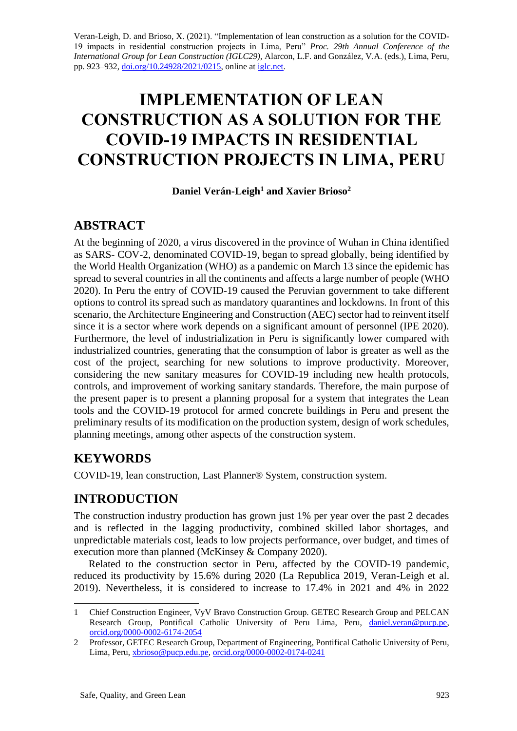Veran-Leigh, D. and Brioso, X. (2021). "Implementation of lean construction as a solution for the COVID-19 impacts in residential construction projects in Lima, Peru" *Proc. 29th Annual Conference of the International Group for Lean Construction (IGLC29),* Alarcon, L.F. and González, V.A. (eds.), Lima, Peru, pp. 923–93[2,](https://doi.org/10.24928/2021/XXXX) [doi.org/10.24928/2021/0215,](https://doi.org/10.24928/2021/0215) online a[t](http://iglc.net/) [iglc.net.](http://iglc.net/)

# **IMPLEMENTATION OF LEAN CONSTRUCTION AS A SOLUTION FOR THE COVID-19 IMPACTS IN RESIDENTIAL CONSTRUCTION PROJECTS IN LIMA, PERU**

#### **Daniel Verán-Leigh<sup>1</sup> and Xavier Brioso<sup>2</sup>**

#### **ABSTRACT**

At the beginning of 2020, a virus discovered in the province of Wuhan in China identified as SARS- COV-2, denominated COVID-19, began to spread globally, being identified by the World Health Organization (WHO) as a pandemic on March 13 since the epidemic has spread to several countries in all the continents and affects a large number of people (WHO 2020). In Peru the entry of COVID-19 caused the Peruvian government to take different options to control its spread such as mandatory quarantines and lockdowns. In front of this scenario, the Architecture Engineering and Construction (AEC) sector had to reinvent itself since it is a sector where work depends on a significant amount of personnel (IPE 2020). Furthermore, the level of industrialization in Peru is significantly lower compared with industrialized countries, generating that the consumption of labor is greater as well as the cost of the project, searching for new solutions to improve productivity. Moreover, considering the new sanitary measures for COVID-19 including new health protocols, controls, and improvement of working sanitary standards. Therefore, the main purpose of the present paper is to present a planning proposal for a system that integrates the Lean tools and the COVID-19 protocol for armed concrete buildings in Peru and present the preliminary results of its modification on the production system, design of work schedules, planning meetings, among other aspects of the construction system.

# **KEYWORDS**

COVID-19, lean construction, Last Planner® System, construction system.

# **INTRODUCTION**

The construction industry production has grown just 1% per year over the past 2 decades and is reflected in the lagging productivity, combined skilled labor shortages, and unpredictable materials cost, leads to low projects performance, over budget, and times of execution more than planned (McKinsey & Company 2020).

Related to the construction sector in Peru, affected by the COVID-19 pandemic, reduced its productivity by 15.6% during 2020 (La Republica 2019, Veran-Leigh et al. 2019). Nevertheless, it is considered to increase to 17.4% in 2021 and 4% in 2022

<sup>1</sup> Chief Construction Engineer, VyV Bravo Construction Group. GETEC Research Group and PELCAN Research Group, Pontifical Catholic University of Peru Lima, Peru, [daniel.veran@pucp.pe,](mailto:daniel.veran@pucp.pe) [orcid.org/0000-0002-6174-2054](https://orcid.org/0000-0002-6174-2054)

<sup>2</sup> Professor, GETEC Research Group, Department of Engineering, Pontifical Catholic University of Peru, Lima, Peru[, xbrioso@pucp.edu.pe,](mailto:xbrioso@pucp.edu.pe) [orcid.org/0000-0002-0174-0241](https://orcid.org/0000-0002-0174-0241)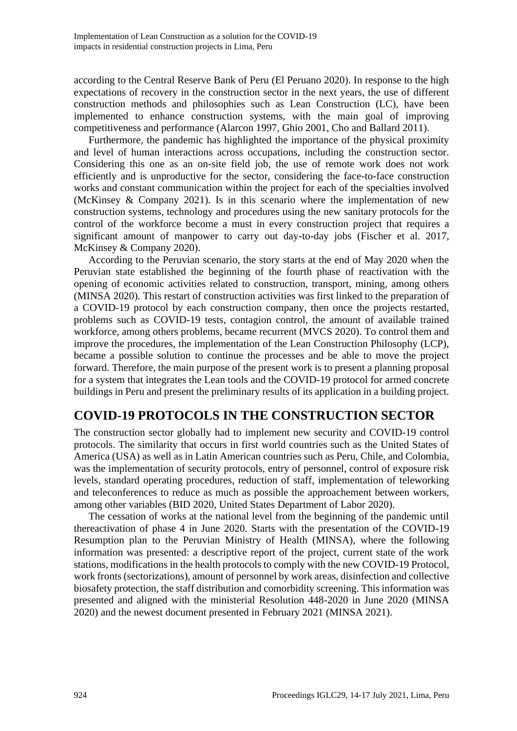according to the Central Reserve Bank of Peru (El Peruano 2020). In response to the high expectations of recovery in the construction sector in the next years, the use of different construction methods and philosophies such as Lean Construction (LC), have been implemented to enhance construction systems, with the main goal of improving competitiveness and performance (Alarcon 1997, Ghio 2001, Cho and Ballard 2011).

Furthermore, the pandemic has highlighted the importance of the physical proximity and level of human interactions across occupations, including the construction sector. Considering this one as an on-site field job, the use of remote work does not work efficiently and is unproductive for the sector, considering the face-to-face construction works and constant communication within the project for each of the specialties involved (McKinsey & Company 2021). Is in this scenario where the implementation of new construction systems, technology and procedures using the new sanitary protocols for the control of the workforce become a must in every construction project that requires a significant amount of manpower to carry out day-to-day jobs (Fischer et al. 2017, McKinsey & Company 2020).

According to the Peruvian scenario, the story starts at the end of May 2020 when the Peruvian state established the beginning of the fourth phase of reactivation with the opening of economic activities related to construction, transport, mining, among others (MINSA 2020). This restart of construction activities was first linked to the preparation of a COVID-19 protocol by each construction company, then once the projects restarted, problems such as COVID-19 tests, contagion control, the amount of available trained workforce, among others problems, became recurrent (MVCS 2020). To control them and improve the procedures, the implementation of the Lean Construction Philosophy (LCP), became a possible solution to continue the processes and be able to move the project forward. Therefore, the main purpose of the present work is to present a planning proposal for a system that integrates the Lean tools and the COVID-19 protocol for armed concrete buildings in Peru and present the preliminary results of its application in a building project.

## **COVID-19 PROTOCOLS IN THE CONSTRUCTION SECTOR**

The construction sector globally had to implement new security and COVID-19 control protocols. The similarity that occurs in first world countries such as the United States of America (USA) as well as in Latin American countries such as Peru, Chile, and Colombia, was the implementation of security protocols, entry of personnel, control of exposure risk levels, standard operating procedures, reduction of staff, implementation of teleworking and teleconferences to reduce as much as possible the approachement between workers, among other variables (BID 2020, United States Department of Labor 2020).

The cessation of works at the national level from the beginning of the pandemic until thereactivation of phase 4 in June 2020. Starts with the presentation of the COVID-19 Resumption plan to the Peruvian Ministry of Health (MINSA), where the following information was presented: a descriptive report of the project, current state of the work stations, modifications in the health protocols to comply with the new COVID-19 Protocol, work fronts (sectorizations), amount of personnel by work areas, disinfection and collective biosafety protection, the staff distribution and comorbidity screening. This information was presented and aligned with the ministerial Resolution 448-2020 in June 2020 (MINSA 2020) and the newest document presented in February 2021 (MINSA 2021).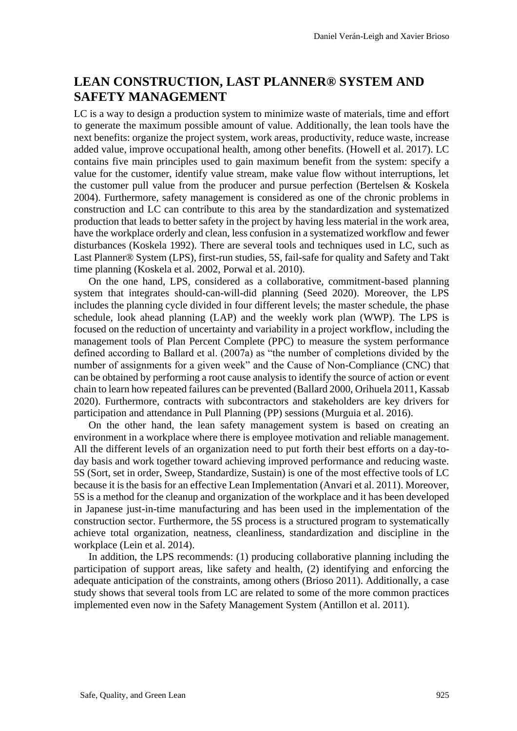#### **LEAN CONSTRUCTION, LAST PLANNER® SYSTEM AND SAFETY MANAGEMENT**

LC is a way to design a production system to minimize waste of materials, time and effort to generate the maximum possible amount of value. Additionally, the lean tools have the next benefits: organize the project system, work areas, productivity, reduce waste, increase added value, improve occupational health, among other benefits. (Howell et al. 2017). LC contains five main principles used to gain maximum benefit from the system: specify a value for the customer, identify value stream, make value flow without interruptions, let the customer pull value from the producer and pursue perfection (Bertelsen & Koskela 2004). Furthermore, safety management is considered as one of the chronic problems in construction and LC can contribute to this area by the standardization and systematized production that leads to better safety in the project by having less material in the work area, have the workplace orderly and clean, less confusion in a systematized workflow and fewer disturbances (Koskela 1992). There are several tools and techniques used in LC, such as Last Planner® System (LPS), first-run studies, 5S, fail-safe for quality and Safety and Takt time planning (Koskela et al. 2002, Porwal et al. 2010).

On the one hand, LPS, considered as a collaborative, commitment-based planning system that integrates should-can-will-did planning (Seed 2020). Moreover, the LPS includes the planning cycle divided in four different levels; the master schedule, the phase schedule, look ahead planning (LAP) and the weekly work plan (WWP). The LPS is focused on the reduction of uncertainty and variability in a project workflow, including the management tools of Plan Percent Complete (PPC) to measure the system performance defined according to Ballard et al. (2007a) as "the number of completions divided by the number of assignments for a given week" and the Cause of Non-Compliance (CNC) that can be obtained by performing a root cause analysis to identify the source of action or event chain to learn how repeated failures can be prevented (Ballard 2000, Orihuela 2011, Kassab 2020). Furthermore, contracts with subcontractors and stakeholders are key drivers for participation and attendance in Pull Planning (PP) sessions (Murguia et al. 2016).

On the other hand, the lean safety management system is based on creating an environment in a workplace where there is employee motivation and reliable management. All the different levels of an organization need to put forth their best efforts on a day-today basis and work together toward achieving improved performance and reducing waste. 5S (Sort, set in order, Sweep, Standardize, Sustain) is one of the most effective tools of LC because it is the basis for an effective Lean Implementation (Anvari et al. 2011). Moreover, 5S is a method for the cleanup and organization of the workplace and it has been developed in Japanese just-in-time manufacturing and has been used in the implementation of the construction sector. Furthermore, the 5S process is a structured program to systematically achieve total organization, neatness, cleanliness, standardization and discipline in the workplace (Lein et al. 2014).

In addition, the LPS recommends: (1) producing collaborative planning including the participation of support areas, like safety and health, (2) identifying and enforcing the adequate anticipation of the constraints, among others (Brioso 2011). Additionally, a case study shows that several tools from LC are related to some of the more common practices implemented even now in the Safety Management System (Antillon et al. 2011).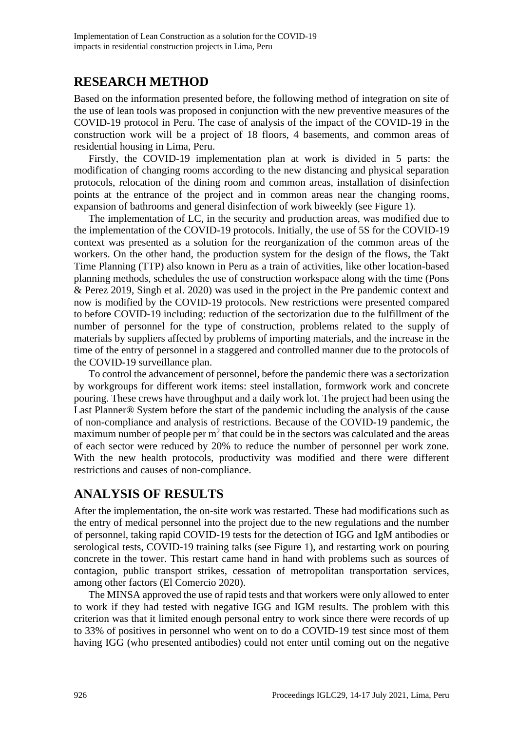#### **RESEARCH METHOD**

Based on the information presented before, the following method of integration on site of the use of lean tools was proposed in conjunction with the new preventive measures of the COVID-19 protocol in Peru. The case of analysis of the impact of the COVID-19 in the construction work will be a project of 18 floors, 4 basements, and common areas of residential housing in Lima, Peru.

Firstly, the COVID-19 implementation plan at work is divided in 5 parts: the modification of changing rooms according to the new distancing and physical separation protocols, relocation of the dining room and common areas, installation of disinfection points at the entrance of the project and in common areas near the changing rooms, expansion of bathrooms and general disinfection of work biweekly (see Figure 1).

The implementation of LC, in the security and production areas, was modified due to the implementation of the COVID-19 protocols. Initially, the use of 5S for the COVID-19 context was presented as a solution for the reorganization of the common areas of the workers. On the other hand, the production system for the design of the flows, the Takt Time Planning (TTP) also known in Peru as a train of activities, like other location-based planning methods, schedules the use of construction workspace along with the time (Pons & Perez 2019, Singh et al. 2020) was used in the project in the Pre pandemic context and now is modified by the COVID-19 protocols. New restrictions were presented compared to before COVID-19 including: reduction of the sectorization due to the fulfillment of the number of personnel for the type of construction, problems related to the supply of materials by suppliers affected by problems of importing materials, and the increase in the time of the entry of personnel in a staggered and controlled manner due to the protocols of the COVID-19 surveillance plan.

To control the advancement of personnel, before the pandemic there was a sectorization by workgroups for different work items: steel installation, formwork work and concrete pouring. These crews have throughput and a daily work lot. The project had been using the Last Planner® System before the start of the pandemic including the analysis of the cause of non-compliance and analysis of restrictions. Because of the COVID-19 pandemic, the maximum number of people per  $m<sup>2</sup>$  that could be in the sectors was calculated and the areas of each sector were reduced by 20% to reduce the number of personnel per work zone. With the new health protocols, productivity was modified and there were different restrictions and causes of non-compliance.

#### **ANALYSIS OF RESULTS**

After the implementation, the on-site work was restarted. These had modifications such as the entry of medical personnel into the project due to the new regulations and the number of personnel, taking rapid COVID-19 tests for the detection of IGG and IgM antibodies or serological tests, COVID-19 training talks (see Figure 1), and restarting work on pouring concrete in the tower. This restart came hand in hand with problems such as sources of contagion, public transport strikes, cessation of metropolitan transportation services, among other factors (El Comercio 2020).

The MINSA approved the use of rapid tests and that workers were only allowed to enter to work if they had tested with negative IGG and IGM results. The problem with this criterion was that it limited enough personal entry to work since there were records of up to 33% of positives in personnel who went on to do a COVID-19 test since most of them having IGG (who presented antibodies) could not enter until coming out on the negative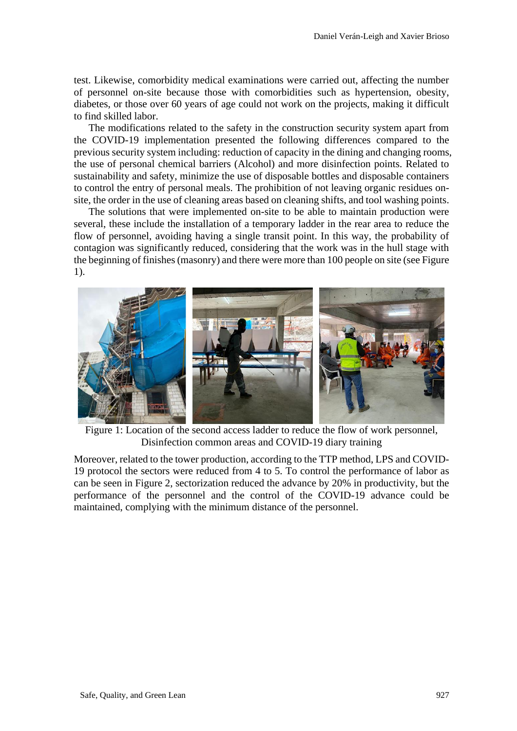test. Likewise, comorbidity medical examinations were carried out, affecting the number of personnel on-site because those with comorbidities such as hypertension, obesity, diabetes, or those over 60 years of age could not work on the projects, making it difficult to find skilled labor.

The modifications related to the safety in the construction security system apart from the COVID-19 implementation presented the following differences compared to the previous security system including: reduction of capacity in the dining and changing rooms, the use of personal chemical barriers (Alcohol) and more disinfection points. Related to sustainability and safety, minimize the use of disposable bottles and disposable containers to control the entry of personal meals. The prohibition of not leaving organic residues onsite, the order in the use of cleaning areas based on cleaning shifts, and tool washing points.

The solutions that were implemented on-site to be able to maintain production were several, these include the installation of a temporary ladder in the rear area to reduce the flow of personnel, avoiding having a single transit point. In this way, the probability of contagion was significantly reduced, considering that the work was in the hull stage with the beginning of finishes (masonry) and there were more than 100 people on site (see Figure 1).



Figure 1: Location of the second access ladder to reduce the flow of work personnel, Disinfection common areas and COVID-19 diary training

Moreover, related to the tower production, according to the TTP method, LPS and COVID-19 protocol the sectors were reduced from 4 to 5. To control the performance of labor as can be seen in Figure 2, sectorization reduced the advance by 20% in productivity, but the performance of the personnel and the control of the COVID-19 advance could be maintained, complying with the minimum distance of the personnel.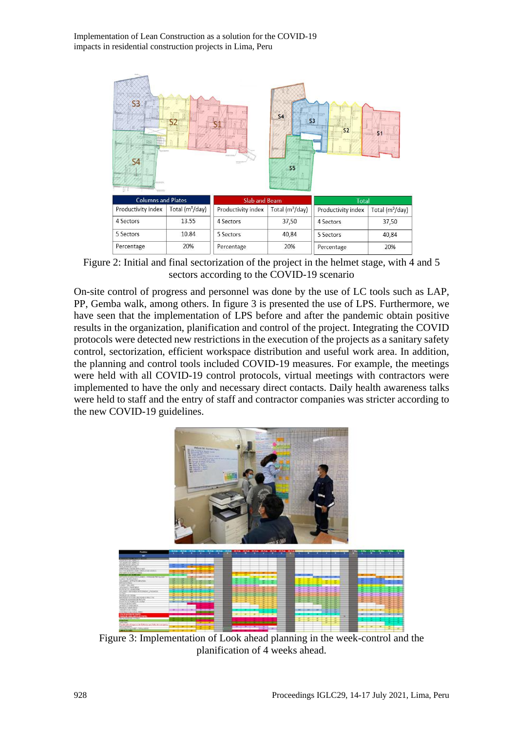Implementation of Lean Construction as a solution for the COVID-19 impacts in residential construction projects in Lima, Peru



Figure 2: Initial and final sectorization of the project in the helmet stage, with 4 and 5 sectors according to the COVID-19 scenario

On-site control of progress and personnel was done by the use of LC tools such as LAP, PP, Gemba walk, among others. In figure 3 is presented the use of LPS. Furthermore, we have seen that the implementation of LPS before and after the pandemic obtain positive results in the organization, planification and control of the project. Integrating the COVID protocols were detected new restrictions in the execution of the projects as a sanitary safety control, sectorization, efficient workspace distribution and useful work area. In addition, the planning and control tools included COVID-19 measures. For example, the meetings were held with all COVID-19 control protocols, virtual meetings with contractors were implemented to have the only and necessary direct contacts. Daily health awareness talks were held to staff and the entry of staff and contractor companies was stricter according to the new COVID-19 guidelines.



Figure 3: Implementation of Look ahead planning in the week-control and the planification of 4 weeks ahead.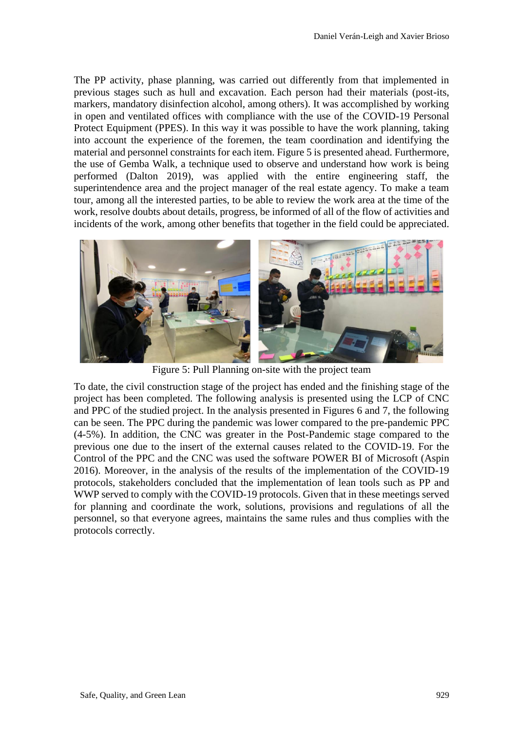The PP activity, phase planning, was carried out differently from that implemented in previous stages such as hull and excavation. Each person had their materials (post-its, markers, mandatory disinfection alcohol, among others). It was accomplished by working in open and ventilated offices with compliance with the use of the COVID-19 Personal Protect Equipment (PPES). In this way it was possible to have the work planning, taking into account the experience of the foremen, the team coordination and identifying the material and personnel constraints for each item. Figure 5 is presented ahead. Furthermore, the use of Gemba Walk, a technique used to observe and understand how work is being performed (Dalton 2019), was applied with the entire engineering staff, the superintendence area and the project manager of the real estate agency. To make a team tour, among all the interested parties, to be able to review the work area at the time of the work, resolve doubts about details, progress, be informed of all of the flow of activities and incidents of the work, among other benefits that together in the field could be appreciated.



Figure 5: Pull Planning on-site with the project team

To date, the civil construction stage of the project has ended and the finishing stage of the project has been completed. The following analysis is presented using the LCP of CNC and PPC of the studied project. In the analysis presented in Figures 6 and 7, the following can be seen. The PPC during the pandemic was lower compared to the pre-pandemic PPC (4-5%). In addition, the CNC was greater in the Post-Pandemic stage compared to the previous one due to the insert of the external causes related to the COVID-19. For the Control of the PPC and the CNC was used the software POWER BI of Microsoft (Aspin 2016). Moreover, in the analysis of the results of the implementation of the COVID-19 protocols, stakeholders concluded that the implementation of lean tools such as PP and WWP served to comply with the COVID-19 protocols. Given that in these meetings served for planning and coordinate the work, solutions, provisions and regulations of all the personnel, so that everyone agrees, maintains the same rules and thus complies with the protocols correctly.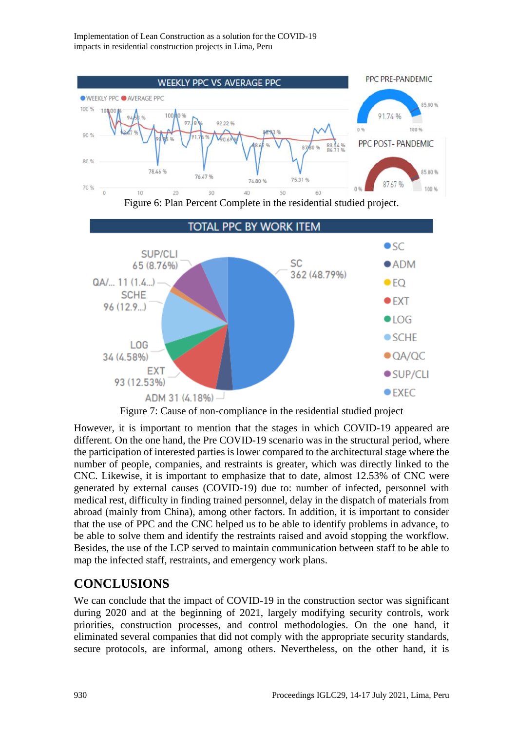PPC PRE-PANDEMIC **WEEKLY PPC VS AVERAGE PPC** ● WEEKLY PPC ● AVERAGE PPC 8500% 100 % 108.00 91.74 % 92.22.96 100 %  $909$ PPC POST- PANDEMIC 80% 78.46 % 85.00 % 76.47% 74.80 % 75.31 87.67 % 70% 100 % 20 40 50 60 Figure 6: Plan Percent Complete in the residential studied project. **TOTAL PPC BY WORK ITEM**  $\bullet$ sc SUP/CLI **SC**  $\bullet$  ADM 65 (8.76%) 362 (48.79%)  $QA/\dots$  11  $(1.4)$  $\bullet$  FO **SCHE**  $\bullet$  EXT  $96(12.9)$  $\bullet$ LOG  $\bullet$  SCHE **LOG**  $OAYQC$ 34 (4.58%) **EXT**  $\bullet$  SUP/CLI 93 (12.53%)  $\bullet$  FXFC ADM 31  $(4.18\%)$ 

Figure 7: Cause of non-compliance in the residential studied project

However, it is important to mention that the stages in which COVID-19 appeared are different. On the one hand, the Pre COVID-19 scenario was in the structural period, where the participation of interested parties is lower compared to the architectural stage where the number of people, companies, and restraints is greater, which was directly linked to the CNC. Likewise, it is important to emphasize that to date, almost 12.53% of CNC were generated by external causes (COVID-19) due to: number of infected, personnel with medical rest, difficulty in finding trained personnel, delay in the dispatch of materials from abroad (mainly from China), among other factors. In addition, it is important to consider that the use of PPC and the CNC helped us to be able to identify problems in advance, to be able to solve them and identify the restraints raised and avoid stopping the workflow. Besides, the use of the LCP served to maintain communication between staff to be able to map the infected staff, restraints, and emergency work plans.

## **CONCLUSIONS**

We can conclude that the impact of COVID-19 in the construction sector was significant during 2020 and at the beginning of 2021, largely modifying security controls, work priorities, construction processes, and control methodologies. On the one hand, it eliminated several companies that did not comply with the appropriate security standards, secure protocols, are informal, among others. Nevertheless, on the other hand, it is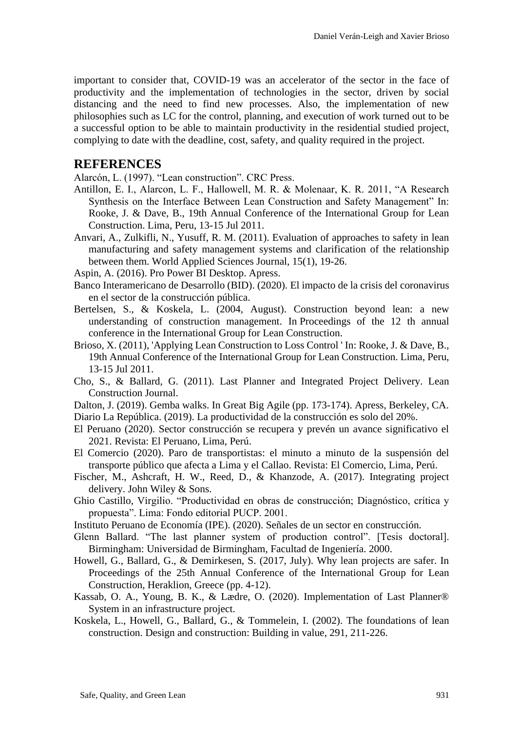important to consider that, COVID-19 was an accelerator of the sector in the face of productivity and the implementation of technologies in the sector, driven by social distancing and the need to find new processes. Also, the implementation of new philosophies such as LC for the control, planning, and execution of work turned out to be a successful option to be able to maintain productivity in the residential studied project, complying to date with the deadline, cost, safety, and quality required in the project.

#### **REFERENCES**

Alarcón, L. (1997). "Lean construction". CRC Press.

- Antillon, E. I., Alarcon, L. F., Hallowell, M. R. & Molenaar, K. R. 2011, "A Research Synthesis on the Interface Between Lean Construction and Safety Management" In: Rooke, J. & Dave, B., 19th Annual Conference of the International Group for Lean Construction. Lima, Peru, 13-15 Jul 2011.
- Anvari, A., Zulkifli, N., Yusuff, R. M. (2011). Evaluation of approaches to safety in lean manufacturing and safety management systems and clarification of the relationship between them. World Applied Sciences Journal, 15(1), 19-26.
- Aspin, A. (2016). Pro Power BI Desktop. Apress.
- Banco Interamericano de Desarrollo (BID). (2020). El impacto de la crisis del coronavirus en el sector de la construcción pública.
- Bertelsen, S., & Koskela, L. (2004, August). Construction beyond lean: a new understanding of construction management. In Proceedings of the 12 th annual conference in the International Group for Lean Construction.
- Brioso, X. (2011), 'Applying Lean Construction to Loss Control ' In: Rooke, J. & Dave, B., 19th Annual Conference of the International Group for Lean Construction. Lima, Peru, 13-15 Jul 2011.
- Cho, S., & Ballard, G. (2011). Last Planner and Integrated Project Delivery. Lean Construction Journal.
- Dalton, J. (2019). Gemba walks. In Great Big Agile (pp. 173-174). Apress, Berkeley, CA. Diario La República. (2019). La productividad de la construcción es solo del 20%.
- El Peruano (2020). Sector construcción se recupera y prevén un avance significativo el 2021. Revista: El Peruano, Lima, Perú.
- El Comercio (2020). Paro de transportistas: el minuto a minuto de la suspensión del transporte público que afecta a Lima y el Callao. Revista: El Comercio, Lima, Perú.
- Fischer, M., Ashcraft, H. W., Reed, D., & Khanzode, A. (2017). Integrating project delivery. John Wiley & Sons.
- Ghio Castillo, Virgilio. "Productividad en obras de construcción; Diagnóstico, crítica y propuesta". Lima: Fondo editorial PUCP. 2001.
- Instituto Peruano de Economía (IPE). (2020). Señales de un sector en construcción.
- Glenn Ballard. "The last planner system of production control". [Tesis doctoral]. Birmingham: Universidad de Birmingham, Facultad de Ingeniería. 2000.
- Howell, G., Ballard, G., & Demirkesen, S. (2017, July). Why lean projects are safer. In Proceedings of the 25th Annual Conference of the International Group for Lean Construction, Heraklion, Greece (pp. 4-12).
- Kassab, O. A., Young, B. K., & Lædre, O. (2020). Implementation of Last Planner® System in an infrastructure project.
- Koskela, L., Howell, G., Ballard, G., & Tommelein, I. (2002). The foundations of lean construction. Design and construction: Building in value, 291, 211-226.